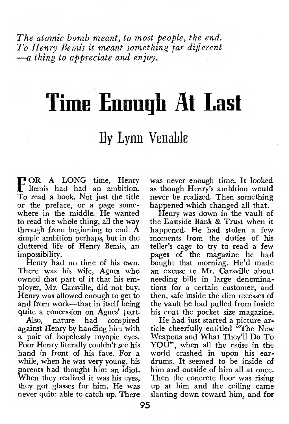The atomic bomb meant, to most people, the end. To Henry Bemis it meant something far different —<sup>a</sup> thing to appreciate and enjoy.

## Time Enough At Last

## By Lynn Venable

FOR <sup>A</sup> LONG time, Henry Bemis had had an ambition. To read a book. Not just the title or the preface, or a page some where in the middle. He wanted to read the whole thing, all the way through from beginning to end. A simple ambition perhaps, but in the cluttered life of Henry Bemis, an impossibility.

Henry had no time of his own. There was his wife, Agnes who owned that part of it that his employer, Mr. Carsville, did not buy. Henry was allowed enough to get to and from work—that in itself being quite a concession on Agnes' part.

Also, nature had conspired against Henry by handing him with a pair of hopelessly myopic eyes. Poor Henry literally couldn't see his hand in front of his face. For a while, when he was very young, his<br>parents had thought him an idjot. When they realized it was his eyes, they got glasses for him. He was never quite able to catch up. There was never enough time. It looked as though Henry's ambition would never be realized. Then something happened which changed all that.

Henry was down in the vault of the Eastside Bank & Trust when it happened. He had stolen a few moments from the duties of his teller's cage to try to read a few pages of the magazine he had bought that morning. He'd made an excuse to Mr. Carsville about needing bills in large denominations for a certain customer, and then, safe inside the dim recesses of the vault he had pulled from inside his coat the pocket size magazine.

He had just started a picture article cheerfully entitled "The New Weapons and What They'll Do To YOU", when all the noise in the world crashed in upon his ear drums. It seemed to be inside of him and outside of him all at once. Then the concrete floor was rising up at him and the ceiling came slanting down toward him, and for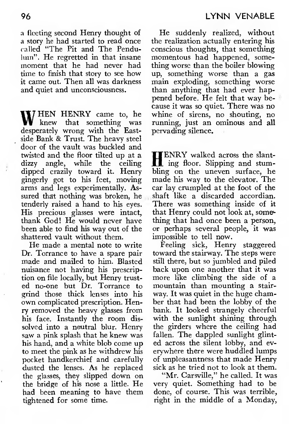a fleeting second Henry thought of a story he had started to read once called "The Pit and The Pendulum". He regretted in that insane moment that he had never had time to finish that story to see how it came out. Then all was darkness and quiet and unconsciousness.

WHEN HENRY came to, he knew that something was desperately wrong with the Eastside Bank & Trust. The heavy steel door of the vault was buckled and twisted and the floor tilted up at a  $\prod_{\text{ENRY}}$  walked across the slant-<br>dizzy angle, while the ceiling  $\prod_{\text{img}}$  floor. Slipping and stumdizzy angle, while the ceiling dipped crazily toward it. Henry gingerly got to his feet, moving arms and legs experimentally. Assured that nothing was broken, he tenderly raised a hand to his eyes. His precious glasses were intact, thank God! He would never have been able to find his way out of the shattered vault without them.

He made a mental note to write Dr. Torrance to have a spare pair made and mailed to him. Blasted nuisance not having his prescription on file locally, but Henry trust ed no-one but Dr. Torrance to grind those thick lenses into his own complicated prescription. Henry removed the heavy glasses from his face. Instantly the room dis solved into a neutral blur. Henry saw a pink splash that he knew was his hand, and a white blob come up to meet the pink as he withdrew his pocket handkerchief and carefully dusted the lenses. As he replaced the glasses, they slipped down on the bridge of his nose a little. He had been meaning to have them tightened for some time.

He suddenly realized, without the realization actually entering his conscious thoughts, that something momentous had happened, something worse than the boiler blowing up, something worse than a gas main exploding, something worse than anything that had ever hap pened before. He felt that way because it was so quiet. There was no whine of sirens, no shouting, no running, just an ominous and all pervading silence.

HENRY walked across the slantbling on the uneven surface, he made his way to the elevator. The car lay crumpled at the foot of the shaft like a discarded accordian. There was something inside of it that Henry could not look at, something that had once been a person, or perhaps several people, it was impossible to tell now.

Feeling sick, Henry staggered toward the stairway. The steps were still there, but so jumbled and piled back upon one another that it was more like climbing the side of a mountain than mounting a stair way. It was quiet in the huge chamber that had been the lobby of the bank. It looked strangely cheerful with the sunlight shining through the girders where the ceiling had fallen. The dappled sunlight glinted across the silent lobby, and ev erywhere there were huddled lumps of unpleasantness that made Henry sick as he tried not to look at them.

"Mr. Carsville," he called. It was very quiet. Something had to be done, of course. This was terrible, right in the middle of a Monday,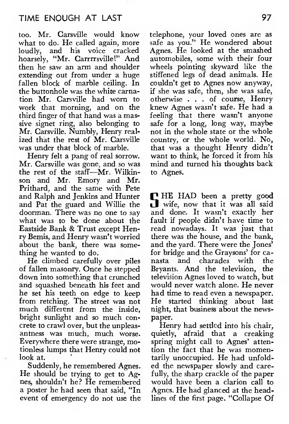too. Mr. Carsville would know what to do. He called again, more loudly, and his voice cracked hoarsely, "Mr. Carrrrsville!" And then he saw an arm and shoulder extending out from under a huge fallen block of marble ceiling. In the buttonhole was the white carnation Mr. Carsville had worn to work that morning, and on the third finger of that hand was a massive signet ring, also belonging to Mr. Carsville. Numbly, Henry real ized that the rest of Mr. Carsville was under that block of marble.

Henry felt a pang of real sorrow. Mr. Carsville was gone, and so was the rest of the staff—Mr. Wilkin son and Mr. Emory and Mr. Prithard, and the same with Pete and Ralph and Jenkins and Hunter and Pat the guard and Willie the doorman. There was no one to say what was to be done about the Eastside Bank & Trust except Henry Bemis, and Henry wasn't worried about the bank, there was something he wanted to do.

He climbed carefully over piles of fallen masonry. Once he stepped down into something that crunched and squashed beneath his feet and would never watch alone. He never<br>he set his teeth on edge to keep had time to read even a newspaper. he set his teeth on edge to keep<br>from retching. The street was not much different from the inside, bright sunlight and so much concrete to crawl over, but the unpleasantness was much, much worse. Everywhere there were strange, motionless lumps that Henry could not look at.<br>Suddenly, he remembered Agnes.

He should be trying to get to Agnes, shouldn't he? He remembered a poster he had seen that said, "In event of emergency do not use the telephone, your loved ones are as safe as you." He wondered about Agnes. He looked at the smashed automobiles, some with their four wheels pointing skyward like the stiffened legs of dead animals. He couldn't get to Agnes now anyway, if she was safe, then, she was safe, otherwise ... of course, Henry knew Agnes wasn't safe. He had a feeling that there wasn't anyone safe for a long, long way, maybe not in the whole state or the whole country, or the whole world. No, that was a thought Henry didn't want to think, he forced it from his mind and turned his thoughts back to Agnes.

**PHE** HAD been a pretty good wife, now that it was all said and done. It wasn't exactly her fault if people didn't have time to read nowadays. It was just that there was the house, and the bank, and the yard. There were the Jones' for bridge and the Graysons' for ca-<br>nasta and charades with the nasta and charades with Bryants. And the television, the television Agnes loved to watch, but would never watch alone. He never He started thinking about last night, that business about the newspaper.

Henry had settled into his chair, quietly, afraid that a creaking spring might call to Agnes' attention the fact that he was momentarily unoccupied. He had unfold ed the newspaper slowly and carefully, the sharp crackle of the paper would have been a clarion call to Agnes. He had glanced at the headlines of the first page. "Collapse Of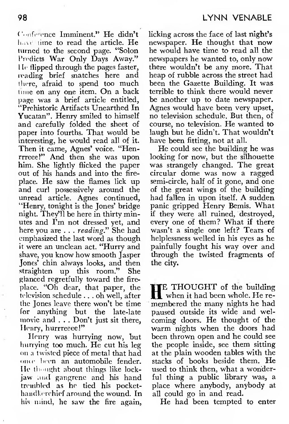(', .nfrrrncc Imminent." He didn't line to read the article. He turned to the second page. "Solon Predicts War Only Days Away." He flipped through the pages faster, reading brief snatches here and there, afraid to spend too much time on any one item. On a back page was a brief article entitled, "Prehistoric Artifacts Unearthed In Yucatan". Henry smiled to himself and carefully folded the sheet of paper into fourths. That would be interesting, he would read all of it. Then it came, Agnes' voice. "Henrrreeef" And then she was upon him. She lightly flicked the paper out of his hands and into the fire place. He saw the flames lick up and curl possessively around the unread article. Agnes continued, "Henry, tonight is the Jones' bridge night. They'll be here in thirty minutes and I'm not dressed yet, and here you are . . . reading." She had emphasized the last word as though it were an unclean act. "Hurry and shave, you know how smooth Jasper Jones' chin always looks, and then straighten up this room." She glanced regretfully toward the fire place. "Oh dear, that paper, the  $\prod_{\text{m}}$  THOUGHT of the building television schedule... oh well, after  $\prod_{\text{m}}$  when it had been whole. He retelevision schedule  $\ldots$  oh well, after  $\prod$  when it had been whole. He re-<br>the Iones leave there won't be time membered the many nights he had the Jones leave there won't be time for anything but the late-late movie and . . . Don't just sit there, Henry, hurrreeee!"

Henry was hurrying now, but hurrying too much. He cut his leg on <sup>a</sup> twisted piece of metal that had once heen an automobile fender. He thought about things like lockjaw and gangrene and his hand trembled as he tied his pocket handkerchief around the wound. In his mind, he saw the fire again, licking across the face of last night's newspaper. He thought that now he would have time to read all the newspapers he wanted to, only now there wouldn't be any more. That heap of rubble across the street had been the Gazette Building. It was terrible to think there would never be another up to date newspaper. Agnes would have been very upset, no television schedule. But then, of course, no television. He wanted to laugh but he didn't. That wouldn't have been fitting, not at all.

He could see the building he was looking for now, but the silhouette was strangely changed. The great circular dome was now a ragged semi-circle, half of it gone, and one of the great wings of the building had fallen in upon itself. A sudden panic gripped Henry Bemis. What if they were all ruined, destroyed, every one of them? What if there wasn't a single one left? Tears of helplessness welled in his eyes as he painfully fought his way over and through the twisted fragments of the city.

TE THOUGHT of the building paused outside its wide and wel coming doors. He thought of the warm nights when the doors had been thrown open and he could see the people inside, see them sitting at the plain wooden tables with the stacks of books beside them. He used to think then, what a wonderful thing a public library was, a place where anybody, anybody at all could go in and read.

He had been tempted to enter